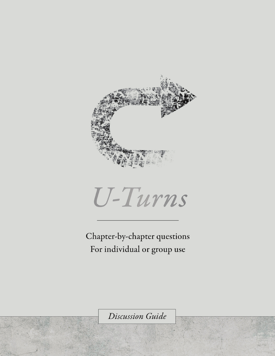



Chapter-by-chapter questions For individual or group use

Discussion Guide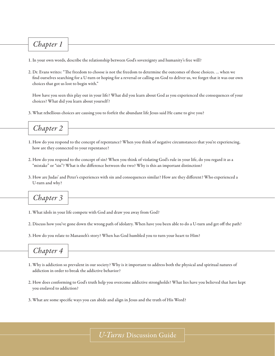### *Chapter 1*

- 1. In your own words, describe the relationship between God's sovereignty and humanity's free will?
- 2. Dr. Evans writes: "The freedom to choose is not the freedom to determine the outcomes of those choices. … when we find ourselves searching for a U-turn or hoping for a reversal or calling on God to deliver us, we forget that it was our own choices that got us lost to begin with."

How have you seen this play out in your life? What did you learn about God as you experienced the consequences of your choices? What did you learn about yourself ?

3. What rebellious choices are causing you to forfeit the abundant life Jesus said He came to give you?



- 1. How do you respond to the concept of repentance? When you think of negative circumstances that you're experiencing, how are they connected to your repentance?
- 2. How do you respond to the concept of sin? When you think of violating God's rule in your life, do you regard it as a "mistake" or "sin"? What is the difference between the two? Why is this an important distinction?
- 3. How are Judas' and Peter's experiences with sin and consequences similar? How are they different? Who experienced a U-turn and why?

*Chapter 3* 

- 1. What idols in your life compete with God and draw you away from God?
- 2. Discuss how you've gone down the wrong path of idolatry. When have you been able to do a U-turn and get off the path?
- 3. How do you relate to Manasseh's story? When has God humbled you to turn your heart to Him?

# *Chapter 4*

- 1. Why is addiction so prevalent in our society? Why is it important to address both the physical and spiritual natures of addiction in order to break the addictive behavior?
- 2. How does conforming to God's truth help you overcome addictive strongholds? What lies have you believed that have kept you enslaved to addiction?
- 3. What are some specific ways you can abide and align in Jesus and the truth of His Word?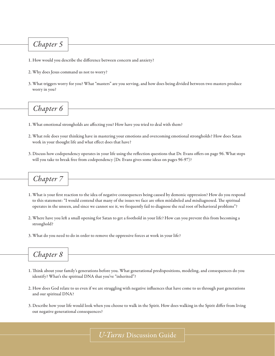#### *Chapter 5*

- 1. How would you describe the difference between concern and anxiety?
- 2. Why does Jesus command us not to worry?
- 3. What triggers worry for you? What "masters" are you serving, and how does being divided between two masters produce worry in you?

## *Chapter 6*

- 1. What emotional strongholds are affecting you? How have you tried to deal with them?
- 2. What role does your thinking have in mastering your emotions and overcoming emotional strongholds? How does Satan work in your thought life and what effect does that have?
- 3. Discuss how codependency operates in your life using the reflection questions that Dr. Evans offers on page 96. What steps will you take to break free from codependency (Dr. Evans gives some ideas on pages 96-97)?



- 1. What is your first reaction to the idea of negative consequences being caused by demonic oppression? How do you respond to this statement: "I would contend that many of the issues we face are often mislabeled and misdiagnosed. The spiritual operates in the unseen, and since we cannot see it, we frequently fail to diagnose the real root of behavioral problems"?
- 2. Where have you left a small opening for Satan to get a foothold in your life? How can you prevent this from becoming a stronghold?
- 3. What do you need to do in order to remove the oppressive forces at work in your life?



- 1. Think about your family's generations before you. What generational predispositions, modeling, and consequences do you identify? What's the spiritual DNA that you've "inherited"?
- 2. How does God relate to us even if we are struggling with negative influences that have come to us through past generations and our spiritual DNA?
- 3. Describe how your life would look when you choose to walk in the Spirit. How does walking in the Spirit differ from living out negative generational consequences?